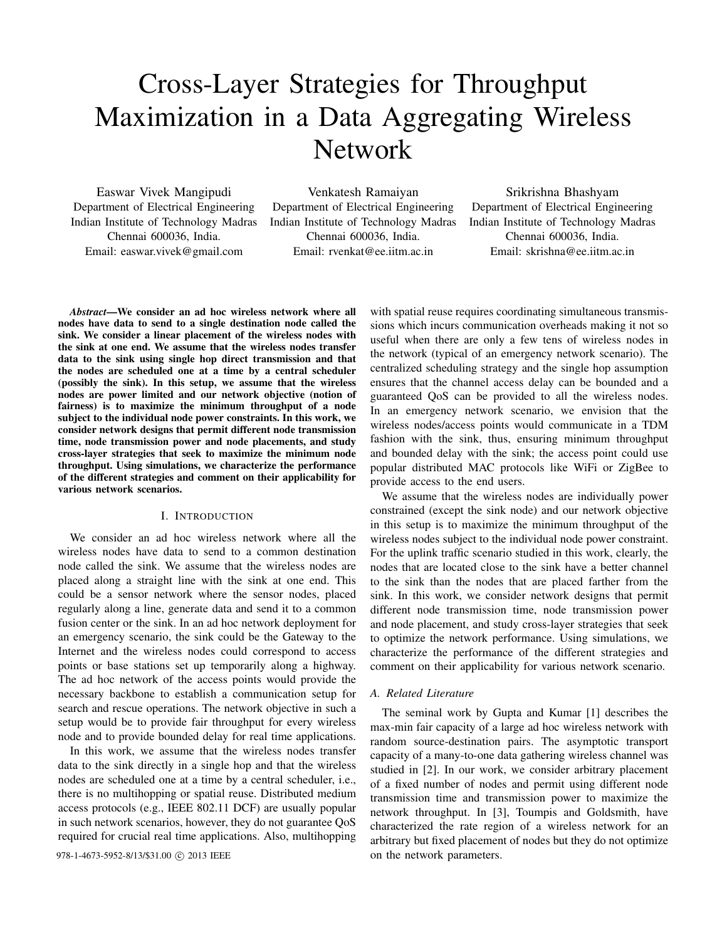# Cross-Layer Strategies for Throughput Maximization in a Data Aggregating Wireless Network

Easwar Vivek Mangipudi Department of Electrical Engineering Indian Institute of Technology Madras Chennai 600036, India. Email: easwar.vivek@gmail.com

Venkatesh Ramaiyan Department of Electrical Engineering Indian Institute of Technology Madras Chennai 600036, India. Email: rvenkat@ee.iitm.ac.in

Srikrishna Bhashyam Department of Electrical Engineering Indian Institute of Technology Madras Chennai 600036, India. Email: skrishna@ee.iitm.ac.in

*Abstract*—We consider an ad hoc wireless network where all nodes have data to send to a single destination node called the sink. We consider a linear placement of the wireless nodes with the sink at one end. We assume that the wireless nodes transfer data to the sink using single hop direct transmission and that the nodes are scheduled one at a time by a central scheduler (possibly the sink). In this setup, we assume that the wireless nodes are power limited and our network objective (notion of fairness) is to maximize the minimum throughput of a node subject to the individual node power constraints. In this work, we consider network designs that permit different node transmission time, node transmission power and node placements, and study cross-layer strategies that seek to maximize the minimum node throughput. Using simulations, we characterize the performance of the different strategies and comment on their applicability for various network scenarios.

# I. INTRODUCTION

We consider an ad hoc wireless network where all the wireless nodes have data to send to a common destination node called the sink. We assume that the wireless nodes are placed along a straight line with the sink at one end. This could be a sensor network where the sensor nodes, placed regularly along a line, generate data and send it to a common fusion center or the sink. In an ad hoc network deployment for an emergency scenario, the sink could be the Gateway to the Internet and the wireless nodes could correspond to access points or base stations set up temporarily along a highway. The ad hoc network of the access points would provide the necessary backbone to establish a communication setup for search and rescue operations. The network objective in such a setup would be to provide fair throughput for every wireless node and to provide bounded delay for real time applications.

In this work, we assume that the wireless nodes transfer data to the sink directly in a single hop and that the wireless nodes are scheduled one at a time by a central scheduler, i.e., there is no multihopping or spatial reuse. Distributed medium access protocols (e.g., IEEE 802.11 DCF) are usually popular in such network scenarios, however, they do not guarantee QoS required for crucial real time applications. Also, multihopping

978-1-4673-5952-8/13/\$31.00 © 2013 IEEE on the network parameters.

with spatial reuse requires coordinating simultaneous transmissions which incurs communication overheads making it not so useful when there are only a few tens of wireless nodes in the network (typical of an emergency network scenario). The centralized scheduling strategy and the single hop assumption ensures that the channel access delay can be bounded and a guaranteed QoS can be provided to all the wireless nodes. In an emergency network scenario, we envision that the wireless nodes/access points would communicate in a TDM fashion with the sink, thus, ensuring minimum throughput and bounded delay with the sink; the access point could use popular distributed MAC protocols like WiFi or ZigBee to provide access to the end users.

We assume that the wireless nodes are individually power constrained (except the sink node) and our network objective in this setup is to maximize the minimum throughput of the wireless nodes subject to the individual node power constraint. For the uplink traffic scenario studied in this work, clearly, the nodes that are located close to the sink have a better channel to the sink than the nodes that are placed farther from the sink. In this work, we consider network designs that permit different node transmission time, node transmission power and node placement, and study cross-layer strategies that seek to optimize the network performance. Using simulations, we characterize the performance of the different strategies and comment on their applicability for various network scenario.

# *A. Related Literature*

The seminal work by Gupta and Kumar [1] describes the max-min fair capacity of a large ad hoc wireless network with random source-destination pairs. The asymptotic transport capacity of a many-to-one data gathering wireless channel was studied in [2]. In our work, we consider arbitrary placement of a fixed number of nodes and permit using different node transmission time and transmission power to maximize the network throughput. In [3], Toumpis and Goldsmith, have characterized the rate region of a wireless network for an arbitrary but fixed placement of nodes but they do not optimize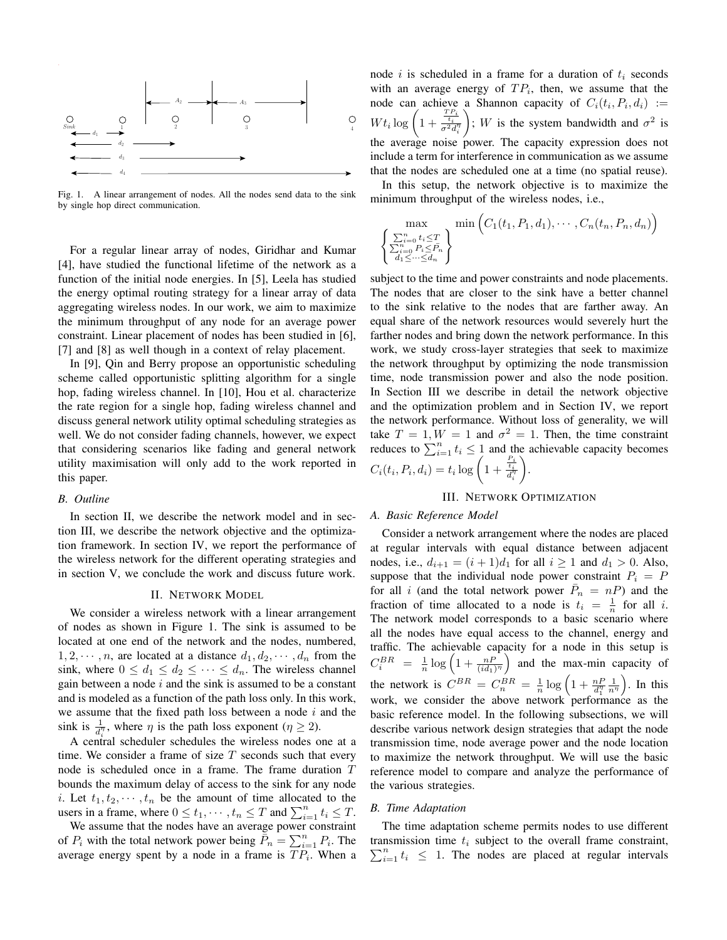

Fig. 1. A linear arrangement of nodes. All the nodes send data to the sink by single hop direct communication.

For a regular linear array of nodes, Giridhar and Kumar [4], have studied the functional lifetime of the network as a function of the initial node energies. In [5], Leela has studied the energy optimal routing strategy for a linear array of data aggregating wireless nodes. In our work, we aim to maximize the minimum throughput of any node for an average power constraint. Linear placement of nodes has been studied in [6], [7] and [8] as well though in a context of relay placement.

In [9], Qin and Berry propose an opportunistic scheduling scheme called opportunistic splitting algorithm for a single hop, fading wireless channel. In [10], Hou et al. characterize the rate region for a single hop, fading wireless channel and discuss general network utility optimal scheduling strategies as well. We do not consider fading channels, however, we expect that considering scenarios like fading and general network utility maximisation will only add to the work reported in this paper.

#### *B. Outline*

In section II, we describe the network model and in section III, we describe the network objective and the optimization framework. In section IV, we report the performance of the wireless network for the different operating strategies and in section V, we conclude the work and discuss future work.

# II. NETWORK MODEL

We consider a wireless network with a linear arrangement of nodes as shown in Figure 1. The sink is assumed to be located at one end of the network and the nodes, numbered,  $1, 2, \dots, n$ , are located at a distance  $d_1, d_2, \dots, d_n$  from the sink, where  $0 \leq d_1 \leq d_2 \leq \cdots \leq d_n$ . The wireless channel gain between a node  $i$  and the sink is assumed to be a constant and is modeled as a function of the path loss only. In this work, we assume that the fixed path loss between a node  $i$  and the sink is  $\frac{1}{d_i^{\eta}}$ , where  $\eta$  is the path loss exponent ( $\eta \geq 2$ ).

A central scheduler schedules the wireless nodes one at a time. We consider a frame of size  $T$  seconds such that every node is scheduled once in a frame. The frame duration T bounds the maximum delay of access to the sink for any node i. Let  $t_1, t_2, \dots, t_n$  be the amount of time allocated to the users in a frame, where  $0 \le t_1, \dots, t_n \le T$  and  $\sum_{i=1}^n t_i \le T$ .

We assume that the nodes have an average power constraint of  $P_i$  with the total network power being  $\overline{\tilde{P}}_n = \sum_{i=1}^n P_i$ . The average energy spent by a node in a frame is  $TP_i$ . When a node i is scheduled in a frame for a duration of  $t_i$  seconds with an average energy of  $TP_i$ , then, we assume that the node can achieve a Shannon capacity of  $C_i(t_i, P_i, d_i) :=$  $W t_i \log \left(1 + \frac{\frac{TP_i}{t_i}}{\sigma^2 d_i^{\eta}}\right)$ ); W is the system bandwidth and  $\sigma^2$  is the average noise power. The capacity expression does not include a term for interference in communication as we assume that the nodes are scheduled one at a time (no spatial reuse).

In this setup, the network objective is to maximize the minimum throughput of the wireless nodes, i.e.,

$$
\max_{\begin{cases}\sum_{i=0}^{n} t_i \leq T \\ \sum_{i=0}^{n} P_i \leq \bar{P}_n \\ d_1 \leq \dots \leq d_n\end{cases}} \min \left( C_1(t_1, P_1, d_1), \dots, C_n(t_n, P_n, d_n) \right)
$$

subject to the time and power constraints and node placements. The nodes that are closer to the sink have a better channel to the sink relative to the nodes that are farther away. An equal share of the network resources would severely hurt the farther nodes and bring down the network performance. In this work, we study cross-layer strategies that seek to maximize the network throughput by optimizing the node transmission time, node transmission power and also the node position. In Section III we describe in detail the network objective and the optimization problem and in Section IV, we report the network performance. Without loss of generality, we will take  $T = 1, W = 1$  and  $\sigma^2 = 1$ . Then, the time constraint reduces to  $\sum_{i=1}^{n} t_i \leq 1$  and the achievable capacity becomes  $C_i(t_i, P_i, d_i) = t_i \log \left(1 + \frac{\frac{P_i}{t_i}}{d_i^{\eta_i}}\right)$ .

## III. NETWORK OPTIMIZATION

#### *A. Basic Reference Model*

Consider a network arrangement where the nodes are placed at regular intervals with equal distance between adjacent nodes, i.e.,  $d_{i+1} = (i+1)d_1$  for all  $i \ge 1$  and  $d_1 > 0$ . Also, suppose that the individual node power constraint  $P_i = P$ for all i (and the total network power  $\bar{P}_n = nP$ ) and the fraction of time allocated to a node is  $t_i = \frac{1}{n}$  for all i. The network model corresponds to a basic scenario where all the nodes have equal access to the channel, energy and traffic. The achievable capacity for a node in this setup is  $C_i^{BR} = \frac{1}{n} \log \left(1 + \frac{n}{(id_1)^{\eta}}\right)$  and the max-min capacity of the network is  $C^{BR} = C_n^{BR} = \frac{1}{n} \log \left( 1 + \frac{nF}{d_1^n} \right)$  $\frac{1}{n^{\eta}}$ ). In this work, we consider the above network performance as the basic reference model. In the following subsections, we will describe various network design strategies that adapt the node transmission time, node average power and the node location to maximize the network throughput. We will use the basic reference model to compare and analyze the performance of the various strategies.

# *B. Time Adaptation*

The time adaptation scheme permits nodes to use different transmission time  $t_i$  subject to the overall frame constraint,  $\sum_{i=1}^{n} t_i \leq 1$ . The nodes are placed at regular intervals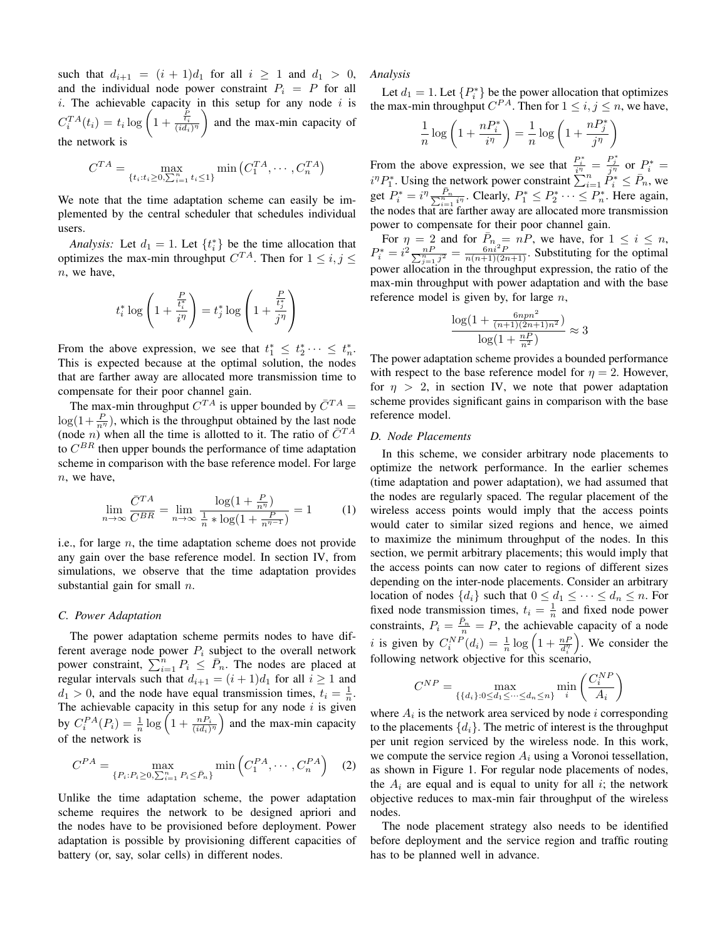such that  $d_{i+1} = (i + 1)d_1$  for all  $i \ge 1$  and  $d_1 > 0$ , and the individual node power constraint  $P_i = P$  for all i. The achievable capacity in this setup for any node  $i$  is  $C_i^{TA}(t_i) = t_i \log \left(1 + \frac{\frac{P_i}{t_i}}{(i d_i)^{\eta}}\right)$  and the max-min capacity of the network is

$$
C^{TA} = \max_{\{t_i : t_i \ge 0, \sum_{i=1}^n t_i \le 1\}} \min (C_1^{TA}, \cdots, C_n^{TA})
$$

We note that the time adaptation scheme can easily be implemented by the central scheduler that schedules individual users.

*Analysis:* Let  $d_1 = 1$ . Let  $\{t_i^*\}$  be the time allocation that optimizes the max-min throughput  $C^{TA}$ . Then for  $1 \leq i, j \leq n$  $n$ , we have,

$$
t_i^* \log \left( 1 + \frac{\frac{P}{t_i^*}}{i^{\eta}} \right) = t_j^* \log \left( 1 + \frac{\frac{P}{t_j^*}}{j^{\eta}} \right)
$$

From the above expression, we see that  $t_1^* \leq t_2^* \cdots \leq t_n^*$ . This is expected because at the optimal solution, the nodes that are farther away are allocated more transmission time to compensate for their poor channel gain.

The max-min throughput  $C^{TA}$  is upper bounded by  $\overline{C}^{TA}$  =  $\log(1+\frac{P}{n^{\eta}})$ , which is the throughput obtained by the last node (node *n*) when all the time is allotted to it. The ratio of  $\bar{C}^{TA}$ to  $C^{BR}$  then upper bounds the performance of time adaptation scheme in comparison with the base reference model. For large n, we have,

$$
\lim_{n \to \infty} \frac{\bar{C}^{TA}}{C^{BR}} = \lim_{n \to \infty} \frac{\log(1 + \frac{P}{n^{\eta}})}{\frac{1}{n} * \log(1 + \frac{P}{n^{\eta - 1}})} = 1
$$
 (1)

i.e., for large  $n$ , the time adaptation scheme does not provide any gain over the base reference model. In section IV, from simulations, we observe that the time adaptation provides substantial gain for small  $n$ .

#### *C. Power Adaptation*

The power adaptation scheme permits nodes to have different average node power  $P_i$  subject to the overall network power constraint,  $\sum_{i=1}^{n} P_i \leq \overline{P}_n$ . The nodes are placed at regular intervals such that  $d_{i+1} = (i+1)d_1$  for all  $i \ge 1$  and  $d_1 > 0$ , and the node have equal transmission times,  $t_i = \frac{1}{n}$ . The achievable capacity in this setup for any node  $i$  is given by  $C_i^{PA}(P_i) = \frac{1}{n} \log \left(1 + \frac{n P_i}{(id_i)^{\eta}}\right)$  and the max-min capacity of the network is

$$
C^{PA} = \max_{\{P_i : P_i \ge 0, \sum_{i=1}^n P_i \le \bar{P}_n\}} \min\left(C_1^{PA}, \cdots, C_n^{PA}\right) \quad (2)
$$

Unlike the time adaptation scheme, the power adaptation scheme requires the network to be designed apriori and the nodes have to be provisioned before deployment. Power adaptation is possible by provisioning different capacities of battery (or, say, solar cells) in different nodes.

*Analysis*

Let  $d_1 = 1$ . Let  $\{P_i^*\}$  be the power allocation that optimizes the max-min throughput  $C^{PA}$ . Then for  $1 \leq i, j \leq n$ , we have,

$$
\frac{1}{n}\log\left(1+\frac{nP_i^*}{i^{\eta}}\right)=\frac{1}{n}\log\left(1+\frac{nP_j^*}{j^{\eta}}\right)
$$

From the above expression, we see that  $\frac{P_i^*}{i\eta} = \frac{P_j^*}{j\eta}$  or  $P_i^* =$  $i^{n}P_{1}^{*}$ . Using the network power constraint  $\sum_{i=1}^{n} \dot{P}_{i}^{*} \leq \bar{P}_{n}$ , we get  $P_i^* = i^{\eta} \frac{P_n}{\sum_{i=1}^n i^n}$ . Clearly,  $P_1^* \leq P_2^* \cdots \leq P_n^*$ . Here again, the nodes that are farther away are allocated more transmission power to compensate for their poor channel gain.

For  $\eta = 2$  and for  $\overline{P}_n = nP$ , we have, for  $1 \le i \le n$ ,  $P_i^* = i^2 \frac{nP}{\sum_{j=1}^n j^2} = \frac{6ni^2P}{n(n+1)(2n+1)}$ . Substituting for the optimal power allocation in the throughput expression, the ratio of the max-min throughput with power adaptation and with the base reference model is given by, for large  $n$ ,

$$
\frac{\log(1 + \frac{6n p n^2}{(n+1)(2n+1)n^2})}{\log(1 + \frac{nP}{n^2})} \approx 3
$$

The power adaptation scheme provides a bounded performance with respect to the base reference model for  $\eta = 2$ . However, for  $\eta > 2$ , in section IV, we note that power adaptation scheme provides significant gains in comparison with the base reference model.

## *D. Node Placements*

In this scheme, we consider arbitrary node placements to optimize the network performance. In the earlier schemes (time adaptation and power adaptation), we had assumed that the nodes are regularly spaced. The regular placement of the wireless access points would imply that the access points would cater to similar sized regions and hence, we aimed to maximize the minimum throughput of the nodes. In this section, we permit arbitrary placements; this would imply that the access points can now cater to regions of different sizes depending on the inter-node placements. Consider an arbitrary location of nodes  $\{d_i\}$  such that  $0 \leq d_1 \leq \cdots \leq d_n \leq n$ . For fixed node transmission times,  $t_i = \frac{1}{n}$  and fixed node power constraints,  $P_i = \frac{\bar{P}_n}{n} = P$ , the achievable capacity of a node *i* is given by  $C_i^{NP}(d_i) = \frac{1}{n} \log \left(1 + \frac{nP}{d_i^n}\right)$ . We consider the following network objective for this scenario,

$$
C^{NP} = \max_{\{\{d_i\}: 0 \le d_1 \le \dots \le d_n \le n\}} \min_i \left( \frac{C_i^{NP}}{A_i} \right)
$$

where  $A_i$  is the network area serviced by node i corresponding to the placements  $\{d_i\}$ . The metric of interest is the throughput per unit region serviced by the wireless node. In this work, we compute the service region  $A_i$  using a Voronoi tessellation, as shown in Figure 1. For regular node placements of nodes, the  $A_i$  are equal and is equal to unity for all i; the network objective reduces to max-min fair throughput of the wireless nodes.

The node placement strategy also needs to be identified before deployment and the service region and traffic routing has to be planned well in advance.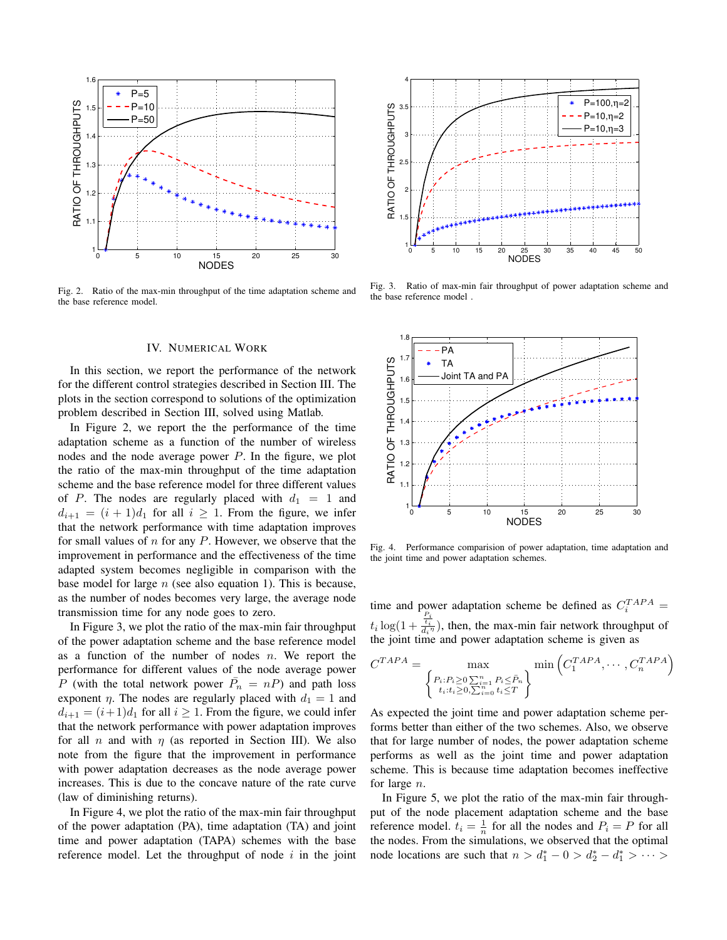

Fig. 2. Ratio of the max-min throughput of the time adaptation scheme and the base reference model.

## IV. NUMERICAL WORK

In this section, we report the performance of the network for the different control strategies described in Section III. The plots in the section correspond to solutions of the optimization problem described in Section III, solved using Matlab.

In Figure 2, we report the the performance of the time adaptation scheme as a function of the number of wireless nodes and the node average power  $P$ . In the figure, we plot the ratio of the max-min throughput of the time adaptation scheme and the base reference model for three different values of P. The nodes are regularly placed with  $d_1 = 1$  and  $d_{i+1} = (i + 1)d_1$  for all  $i \ge 1$ . From the figure, we infer that the network performance with time adaptation improves for small values of  $n$  for any  $P$ . However, we observe that the improvement in performance and the effectiveness of the time adapted system becomes negligible in comparison with the base model for large  $n$  (see also equation 1). This is because, as the number of nodes becomes very large, the average node transmission time for any node goes to zero.

In Figure 3, we plot the ratio of the max-min fair throughput of the power adaptation scheme and the base reference model as a function of the number of nodes  $n$ . We report the performance for different values of the node average power P (with the total network power  $\bar{P}_n = nP$ ) and path loss exponent  $\eta$ . The nodes are regularly placed with  $d_1 = 1$  and  $d_{i+1} = (i+1)d_1$  for all  $i \ge 1$ . From the figure, we could infer that the network performance with power adaptation improves for all *n* and with  $\eta$  (as reported in Section III). We also note from the figure that the improvement in performance with power adaptation decreases as the node average power increases. This is due to the concave nature of the rate curve (law of diminishing returns).

In Figure 4, we plot the ratio of the max-min fair throughput of the power adaptation (PA), time adaptation (TA) and joint time and power adaptation (TAPA) schemes with the base reference model. Let the throughput of node  $i$  in the joint



Fig. 3. Ratio of max-min fair throughput of power adaptation scheme and the base reference model .



Fig. 4. Performance comparision of power adaptation, time adaptation and the joint time and power adaptation schemes.

time and power adaptation scheme be defined as  $C_i^{TAPA}$  =  $t_i \log(1 + \frac{t_i}{d_i \eta})$ , then, the max-min fair network throughput of the joint time and power adaptation scheme is given as

$$
C^{TAPA} = \max_{\begin{Bmatrix} P_i : P_i \ge 0 \sum_{i=1}^n P_i \le P_n \\ t_i : t_i \ge 0, \sum_{i=0}^n t_i \le T \end{Bmatrix}} \min\left(C_1^{TAPA}, \cdots, C_n^{TAPA}\right)
$$

As expected the joint time and power adaptation scheme performs better than either of the two schemes. Also, we observe that for large number of nodes, the power adaptation scheme performs as well as the joint time and power adaptation scheme. This is because time adaptation becomes ineffective for large n.

In Figure 5, we plot the ratio of the max-min fair throughput of the node placement adaptation scheme and the base reference model.  $t_i = \frac{1}{n}$  for all the nodes and  $P_i = P$  for all the nodes. From the simulations, we observed that the optimal node locations are such that  $n > d_1^* - 0 > d_2^* - d_1^* > \cdots >$